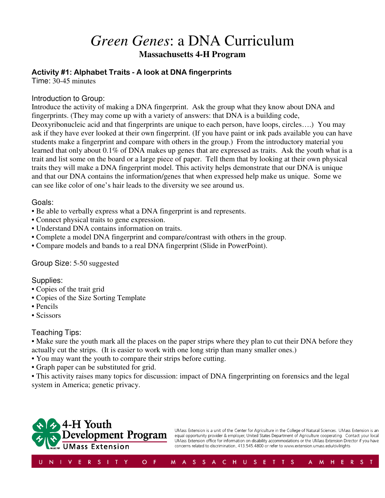## *Green Genes*: a DNA Curriculum **Massachusetts 4-H Program**

#### Activity #1: Alphabet Traits - A look at DNA fingerprints

Time: 30-45 minutes

#### Introduction to Group:

Introduce the activity of making a DNA fingerprint. Ask the group what they know about DNA and fingerprints. (They may come up with a variety of answers: that DNA is a building code, Deoxyribonucleic acid and that fingerprints are unique to each person, have loops, circles….) You may ask if they have ever looked at their own fingerprint. (If you have paint or ink pads available you can have students make a fingerprint and compare with others in the group.) From the introductory material you learned that only about 0.1% of DNA makes up genes that are expressed as traits. Ask the youth what is a trait and list some on the board or a large piece of paper. Tell them that by looking at their own physical traits they will make a DNA fingerprint model. This activity helps demonstrate that our DNA is unique and that our DNA contains the information/genes that when expressed help make us unique. Some we can see like color of one's hair leads to the diversity we see around us.

#### Goals:

- Be able to verbally express what a DNA fingerprint is and represents.
- Connect physical traits to gene expression.
- Understand DNA contains information on traits.
- Complete a model DNA fingerprint and compare/contrast with others in the group.
- Compare models and bands to a real DNA fingerprint (Slide in PowerPoint).

#### Group Size: 5-50 suggested

#### Supplies:

- Copies of the trait grid
- Copies of the Size Sorting Template
- Pencils
- Scissors

#### Teaching Tips:

• Make sure the youth mark all the places on the paper strips where they plan to cut their DNA before they actually cut the strips. (It is easier to work with one long strip than many smaller ones.)

- You may want the youth to compare their strips before cutting.
- Graph paper can be substituted for grid.

• This activity raises many topics for discussion: impact of DNA fingerprinting on forensics and the legal system in America; genetic privacy.



UMass Extension is a unit of the Center for Agriculture in the College of Natural Sciences. UMass Extension is an equal opportunity provider & employer, United States Department of Agriculture cooperating. Contact your local UMass Extension office for information on disability accommodations or the UMass Extension Director if you have concerns related to discrimination, 413.545.4800 or refer to www.extension.umass.edu/civilrights

 $A$   $M$ 

H E R S T

M A S S A C H U S E T T S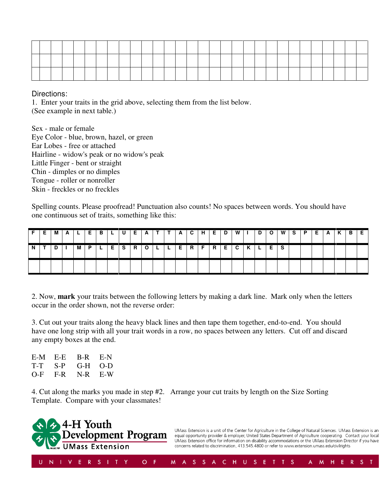Directions:

1. Enter your traits in the grid above, selecting them from the list below. (See example in next table.)

Sex - male or female Eye Color - blue, brown, hazel, or green Ear Lobes - free or attached Hairline - widow's peak or no widow's peak Little Finger - bent or straight Chin - dimples or no dimples Tongue - roller or nonroller Skin - freckles or no freckles

Spelling counts. Please proofread! Punctuation also counts! No spaces between words. You should have one continuous set of traits, something like this:

|   | м | 1 L | E   | IB.   | L. | . U | E.    | <u>А</u> |  |  | T A C H E | D | W I | $\overline{D}$        |  | O   W   S   P | E   A | K. | $\cdot$   B $\cdot$ |  |
|---|---|-----|-----|-------|----|-----|-------|----------|--|--|-----------|---|-----|-----------------------|--|---------------|-------|----|---------------------|--|
| N |   | м   | - P | 1 L . |    |     | ESROL |          |  |  |           |   |     | L E R F R E C K L E S |  |               |       |    |                     |  |
|   |   |     |     |       |    |     |       |          |  |  |           |   |     |                       |  |               |       |    |                     |  |

2. Now, **mark** your traits between the following letters by making a dark line. Mark only when the letters occur in the order shown, not the reverse order:

3. Cut out your traits along the heavy black lines and then tape them together, end-to-end. You should have one long strip with all your trait words in a row, no spaces between any letters. Cut off and discard any empty boxes at the end.

| E-M   | - E-E - | B-R | $E-N$         |
|-------|---------|-----|---------------|
| T-T   | S-P     | G-H | $($ )- $\cup$ |
| $O-F$ | F-R.    |     | $N-R$ $E-W$   |

4. Cut along the marks you made in step #2. Arrange your cut traits by length on the Size Sorting Template. Compare with your classmates!

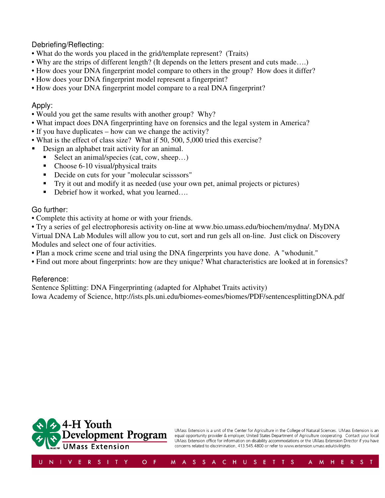Debriefing/Reflecting:

- What do the words you placed in the grid/template represent? (Traits)
- Why are the strips of different length? (It depends on the letters present and cuts made….)
- How does your DNA fingerprint model compare to others in the group? How does it differ?
- How does your DNA fingerprint model represent a fingerprint?
- How does your DNA fingerprint model compare to a real DNA fingerprint?

#### Apply:

- Would you get the same results with another group? Why?
- What impact does DNA fingerprinting have on forensics and the legal system in America?
- If you have duplicates how can we change the activity?
- What is the effect of class size? What if 50, 500, 5,000 tried this exercise?
- Design an alphabet trait activity for an animal.
	- Select an animal/species (cat, cow, sheep...)
	- Choose 6-10 visual/physical traits
	- Decide on cuts for your "molecular scisssors"
	- Try it out and modify it as needed (use your own pet, animal projects or pictures)
	- Debrief how it worked, what you learned….

#### Go further:

- Complete this activity at home or with your friends.
- Try a series of gel electrophoresis activity on-line at www.bio.umass.edu/biochem/mydna/. MyDNA Virtual DNA Lab Modules will allow you to cut, sort and run gels all on-line. Just click on Discovery Modules and select one of four activities.
- Plan a mock crime scene and trial using the DNA fingerprints you have done. A "whodunit."
- Find out more about fingerprints: how are they unique? What characteristics are looked at in forensics?

#### Reference:

Sentence Splitting: DNA Fingerprinting (adapted for Alphabet Traits activity) Iowa Academy of Science, http://ists.pls.uni.edu/biomes-eomes/biomes/PDF/sentencesplittingDNA.pdf



UMass Extension is a unit of the Center for Agriculture in the College of Natural Sciences. UMass Extension is an equal opportunity provider & employer, United States Department of Agriculture cooperating. Contact your local UMass Extension office for information on disability accommodations or the UMass Extension Director if you have concerns related to discrimination, 413.545.4800 or refer to www.extension.umass.edu/civilrights

 $A$   $M$ 

H E R S T

M A S S A C H U S E T T S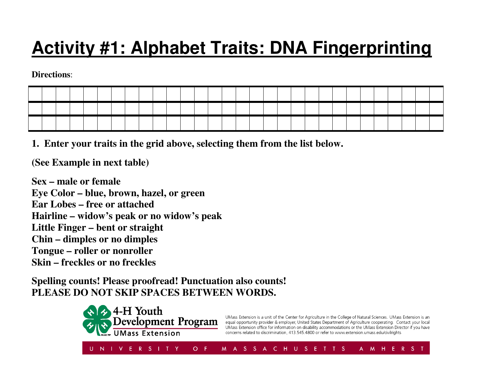# **Activity #1: Alphabet Traits: DNA Fingerprinting**

**Directions**:

**1. Enter your traits in the grid above, selecting them from the list below.** 

**(See Example in next table)** 

**Sex – male or female Eye Color – blue, brown, hazel, or green Ear Lobes – free or attached Hairline – widow's peak or no widow's peak Little Finger – bent or straight Chin – dimples or no dimples Tongue – roller or nonroller Skin – freckles or no freckles** 

**Spelling counts! Please proofread! Punctuation also counts! PLEASE DO NOT SKIP SPACES BETWEEN WORDS.**



UMass Extension is a unit of the Center for Agriculture in the College of Natural Sciences. UMass Extension is an equal opportunity provider & employer, United States Department of Agriculture cooperating. Contact your local UMass Extension office for information on disability accommodations or the UMass Extension Director if you have concerns related to discrimination, 413.545.4800 or refer to www.extension.umass.edu/civilrights

A M H E R S T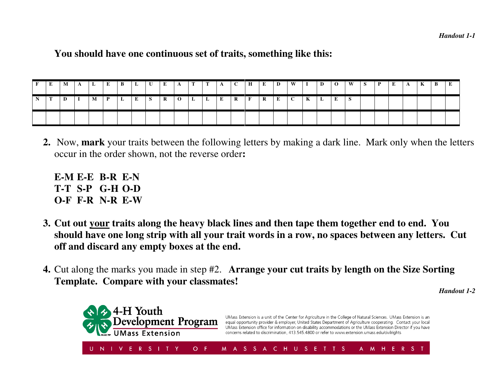### **You should have one continuous set of traits, something like this:**

| E. | M | A | L | E            | B | $\mathbf{L}$ | $\mathbf U$ | E       | $\mathbf{A}$   | $\mathbf{T}$ | $\mathbf{T}$ | $A \cup C \cup H$ |                    |              | E            | D        | W            | $\mathbf{I}$ | D            | $\overline{0}$ | W | -S | $\mathbf{P}$ | E | $\mathbf{A}$ | lК. | $\bf{B}$ |  |
|----|---|---|---|--------------|---|--------------|-------------|---------|----------------|--------------|--------------|-------------------|--------------------|--------------|--------------|----------|--------------|--------------|--------------|----------------|---|----|--------------|---|--------------|-----|----------|--|
|    | D |   | M | $\mathbf{P}$ | L | E            | S.          | $\bf R$ | $\overline{0}$ | L            | L            | $\bf{E}$          | $\  \mathbf{R} \ $ | $\mathbf{F}$ | $\mathbf{R}$ | $\bf{E}$ | $\mathbf{C}$ | $\mathbf{K}$ | $\mathbf{L}$ | E              |   |    |              |   |              |     |          |  |
|    |   |   |   |              |   |              |             |         |                |              |              |                   |                    |              |              |          |              |              |              |                |   |    |              |   |              |     |          |  |

- **2.** Now, **mark** your traits between the following letters by making a dark line. Mark only when the letters occur in the order shown, not the reverse order**:** 
	- **E-M E-E B-R E-N T-T S-P G-H O-D O-F F-R N-R E-W**
- **3. Cut out your traits along the heavy black lines and then tape them together end to end. You should have one long strip with all your trait words in a row, no spaces between any letters. Cut off and discard any empty boxes at the end.**
- **4.** Cut along the marks you made in step #2. **Arrange your cut traits by length on the Size Sorting Template. Compare with your classmates!**

*Handout 1-2*